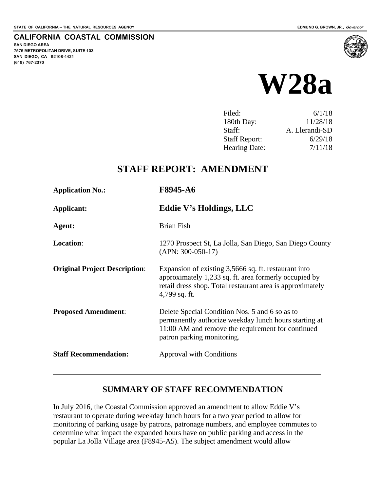**SAN DIEGO AREA** 

**(619) 767-2370**

**7575 METROPOLITAN DRIVE, SUITE 103 SAN DIEGO, CA 92108-4421**

**CALIFORNIA COASTAL COMMISSION**



| Filed:               | 6/1/18         |
|----------------------|----------------|
| 180th Day:           | 11/28/18       |
| Staff:               | A. Llerandi-SD |
| <b>Staff Report:</b> | 6/29/18        |
| Hearing Date:        | 7/11/18        |

## **STAFF REPORT: AMENDMENT**

| <b>Application No.:</b>              | F8945-A6                                                                                                                                                                                    |
|--------------------------------------|---------------------------------------------------------------------------------------------------------------------------------------------------------------------------------------------|
| Applicant:                           | Eddie V's Holdings, LLC                                                                                                                                                                     |
| Agent:                               | <b>Brian Fish</b>                                                                                                                                                                           |
| Location:                            | 1270 Prospect St, La Jolla, San Diego, San Diego County<br>$(APN: 300-050-17)$                                                                                                              |
| <b>Original Project Description:</b> | Expansion of existing 3,5666 sq. ft. restaurant into<br>approximately 1,233 sq. ft. area formerly occupied by<br>retail dress shop. Total restaurant area is approximately<br>4,799 sq. ft. |
| <b>Proposed Amendment:</b>           | Delete Special Condition Nos. 5 and 6 so as to<br>permanently authorize weekday lunch hours starting at<br>11:00 AM and remove the requirement for continued<br>patron parking monitoring.  |
| <b>Staff Recommendation:</b>         | <b>Approval with Conditions</b>                                                                                                                                                             |

## **SUMMARY OF STAFF RECOMMENDATION**

In July 2016, the Coastal Commission approved an amendment to allow Eddie V's restaurant to operate during weekday lunch hours for a two year period to allow for monitoring of parking usage by patrons, patronage numbers, and employee commutes to determine what impact the expanded hours have on public parking and access in the popular La Jolla Village area (F8945-A5). The subject amendment would allow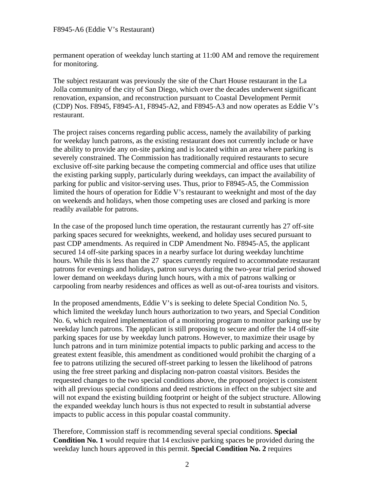permanent operation of weekday lunch starting at 11:00 AM and remove the requirement for monitoring.

The subject restaurant was previously the site of the Chart House restaurant in the La Jolla community of the city of San Diego, which over the decades underwent significant renovation, expansion, and reconstruction pursuant to Coastal Development Permit (CDP) Nos. F8945, F8945-A1, F8945-A2, and F8945-A3 and now operates as Eddie V's restaurant.

The project raises concerns regarding public access, namely the availability of parking for weekday lunch patrons, as the existing restaurant does not currently include or have the ability to provide any on-site parking and is located within an area where parking is severely constrained. The Commission has traditionally required restaurants to secure exclusive off-site parking because the competing commercial and office uses that utilize the existing parking supply, particularly during weekdays, can impact the availability of parking for public and visitor-serving uses. Thus, prior to F8945-A5, the Commission limited the hours of operation for Eddie V's restaurant to weeknight and most of the day on weekends and holidays, when those competing uses are closed and parking is more readily available for patrons.

In the case of the proposed lunch time operation, the restaurant currently has 27 off-site parking spaces secured for weeknights, weekend, and holiday uses secured pursuant to past CDP amendments. As required in CDP Amendment No. F8945-A5, the applicant secured 14 off-site parking spaces in a nearby surface lot during weekday lunchtime hours. While this is less than the 27 spaces currently required to accommodate restaurant patrons for evenings and holidays, patron surveys during the two-year trial period showed lower demand on weekdays during lunch hours, with a mix of patrons walking or carpooling from nearby residences and offices as well as out-of-area tourists and visitors.

In the proposed amendments, Eddie V's is seeking to delete Special Condition No. 5, which limited the weekday lunch hours authorization to two years, and Special Condition No. 6, which required implementation of a monitoring program to monitor parking use by weekday lunch patrons. The applicant is still proposing to secure and offer the 14 off-site parking spaces for use by weekday lunch patrons. However, to maximize their usage by lunch patrons and in turn minimize potential impacts to public parking and access to the greatest extent feasible, this amendment as conditioned would prohibit the charging of a fee to patrons utilizing the secured off-street parking to lessen the likelihood of patrons using the free street parking and displacing non-patron coastal visitors. Besides the requested changes to the two special conditions above, the proposed project is consistent with all previous special conditions and deed restrictions in effect on the subject site and will not expand the existing building footprint or height of the subject structure. Allowing the expanded weekday lunch hours is thus not expected to result in substantial adverse impacts to public access in this popular coastal community.

Therefore, Commission staff is recommending several special conditions. **Special Condition No. 1** would require that 14 exclusive parking spaces be provided during the weekday lunch hours approved in this permit. **Special Condition No. 2** requires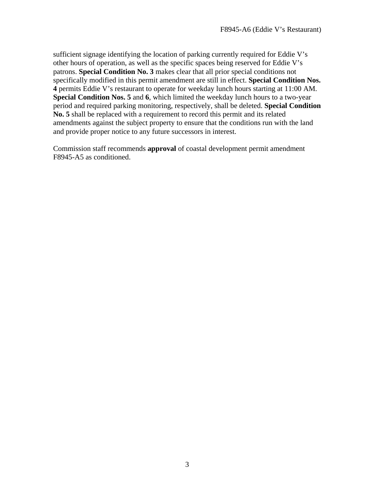sufficient signage identifying the location of parking currently required for Eddie V's other hours of operation, as well as the specific spaces being reserved for Eddie V's patrons. **Special Condition No. 3** makes clear that all prior special conditions not specifically modified in this permit amendment are still in effect. **Special Condition Nos. 4** permits Eddie V's restaurant to operate for weekday lunch hours starting at 11:00 AM. **Special Condition Nos. 5** and **6**, which limited the weekday lunch hours to a two-year period and required parking monitoring, respectively, shall be deleted. **Special Condition No. 5** shall be replaced with a requirement to record this permit and its related amendments against the subject property to ensure that the conditions run with the land and provide proper notice to any future successors in interest.

Commission staff recommends **approval** of coastal development permit amendment F8945-A5 as conditioned.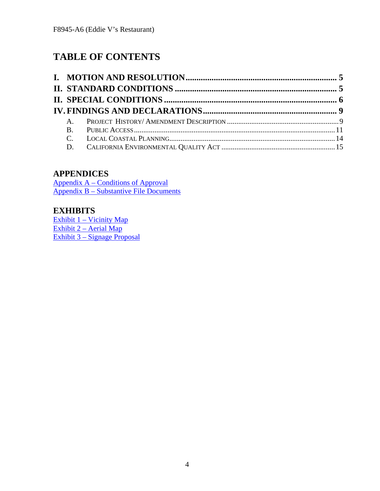# **TABLE OF CONTENTS**

## **APPENDICES**

[Appendix A – Conditions of Approval](#page-15-0) [Appendix B – Substantive File Documents](#page-26-0)

## **EXHIBITS**

[Exhibit 1 – Vicinity Map](https://documents.coastal.ca.gov/reports/2018/7/W28a/W28a-7-2018-exhibits.pdf) [Exhibit 2 – Aerial Map](https://documents.coastal.ca.gov/reports/2018/7/W28a/W28a-7-2018-exhibits.pdf) [Exhibit 3 – Signage Proposal](https://documents.coastal.ca.gov/reports/2018/7/W28a/W28a-7-2018-exhibits.pdf)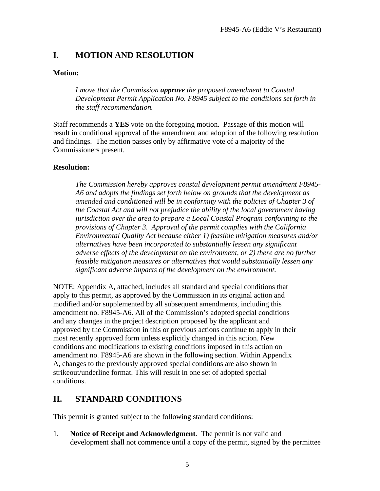## <span id="page-4-0"></span>**I. MOTION AND RESOLUTION**

#### **Motion:**

*I move that the Commission approve the proposed amendment to Coastal Development Permit Application No. F8945 subject to the conditions set forth in the staff recommendation.* 

Staff recommends a **YES** vote on the foregoing motion. Passage of this motion will result in conditional approval of the amendment and adoption of the following resolution and findings. The motion passes only by affirmative vote of a majority of the Commissioners present.

#### **Resolution:**

*The Commission hereby approves coastal development permit amendment F8945- A6 and adopts the findings set forth below on grounds that the development as amended and conditioned will be in conformity with the policies of Chapter 3 of the Coastal Act and will not prejudice the ability of the local government having jurisdiction over the area to prepare a Local Coastal Program conforming to the provisions of Chapter 3. Approval of the permit complies with the California Environmental Quality Act because either 1) feasible mitigation measures and/or alternatives have been incorporated to substantially lessen any significant adverse effects of the development on the environment, or 2) there are no further feasible mitigation measures or alternatives that would substantially lessen any significant adverse impacts of the development on the environment.*

NOTE: Appendix A, attached, includes all standard and special conditions that apply to this permit, as approved by the Commission in its original action and modified and/or supplemented by all subsequent amendments, including this amendment no. F8945-A6. All of the Commission's adopted special conditions and any changes in the project description proposed by the applicant and approved by the Commission in this or previous actions continue to apply in their most recently approved form unless explicitly changed in this action. New conditions and modifications to existing conditions imposed in this action on amendment no. F8945-A6 are shown in the following section. Within Appendix A, changes to the previously approved special conditions are also shown in strikeout/underline format. This will result in one set of adopted special conditions.

## **II. STANDARD CONDITIONS**

This permit is granted subject to the following standard conditions:

1. **Notice of Receipt and Acknowledgment**. The permit is not valid and development shall not commence until a copy of the permit, signed by the permittee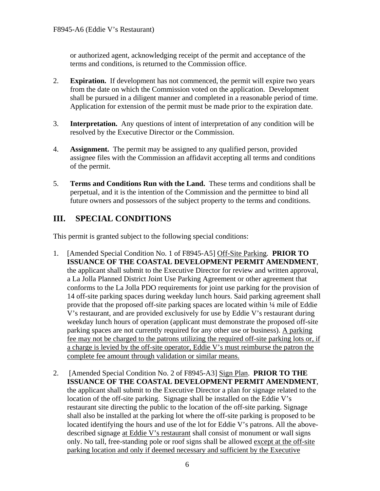or authorized agent, acknowledging receipt of the permit and acceptance of the terms and conditions, is returned to the Commission office.

- 2. **Expiration.** If development has not commenced, the permit will expire two years from the date on which the Commission voted on the application. Development shall be pursued in a diligent manner and completed in a reasonable period of time. Application for extension of the permit must be made prior to the expiration date.
- 3. **Interpretation.** Any questions of intent of interpretation of any condition will be resolved by the Executive Director or the Commission.
- 4. **Assignment.** The permit may be assigned to any qualified person, provided assignee files with the Commission an affidavit accepting all terms and conditions of the permit.
- 5. **Terms and Conditions Run with the Land.** These terms and conditions shall be perpetual, and it is the intention of the Commission and the permittee to bind all future owners and possessors of the subject property to the terms and conditions.

## <span id="page-5-0"></span>**III. SPECIAL CONDITIONS**

This permit is granted subject to the following special conditions:

- 1. [Amended Special Condition No. 1 of F8945-A5] Off-Site Parking. **PRIOR TO ISSUANCE OF THE COASTAL DEVELOPMENT PERMIT AMENDMENT**, the applicant shall submit to the Executive Director for review and written approval, a La Jolla Planned District Joint Use Parking Agreement or other agreement that conforms to the La Jolla PDO requirements for joint use parking for the provision of 14 off-site parking spaces during weekday lunch hours. Said parking agreement shall provide that the proposed off-site parking spaces are located within ¼ mile of Eddie V's restaurant, and are provided exclusively for use by Eddie V's restaurant during weekday lunch hours of operation (applicant must demonstrate the proposed off-site parking spaces are not currently required for any other use or business). A parking fee may not be charged to the patrons utilizing the required off-site parking lots or, if a charge is levied by the off-site operator, Eddie V's must reimburse the patron the complete fee amount through validation or similar means.
- 2. [Amended Special Condition No. 2 of F8945-A3] Sign Plan. **PRIOR TO THE ISSUANCE OF THE COASTAL DEVELOPMENT PERMIT AMENDMENT**, the applicant shall submit to the Executive Director a plan for signage related to the location of the off-site parking. Signage shall be installed on the Eddie V's restaurant site directing the public to the location of the off-site parking. Signage shall also be installed at the parking lot where the off-site parking is proposed to be located identifying the hours and use of the lot for Eddie V's patrons. All the abovedescribed signage at Eddie V's restaurant shall consist of monument or wall signs only. No tall, free-standing pole or roof signs shall be allowed except at the off-site parking location and only if deemed necessary and sufficient by the Executive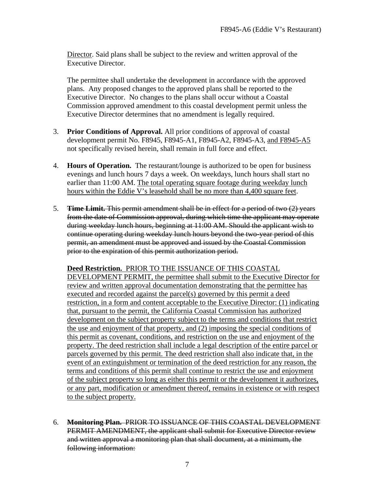Director. Said plans shall be subject to the review and written approval of the Executive Director.

The permittee shall undertake the development in accordance with the approved plans. Any proposed changes to the approved plans shall be reported to the Executive Director. No changes to the plans shall occur without a Coastal Commission approved amendment to this coastal development permit unless the Executive Director determines that no amendment is legally required.

- 3. **Prior Conditions of Approval.** All prior conditions of approval of coastal development permit No. F8945, F8945-A1, F8945-A2, F8945-A3, and F8945-A5 not specifically revised herein, shall remain in full force and effect.
- 4. **Hours of Operation.** The restaurant/lounge is authorized to be open for business evenings and lunch hours 7 days a week. On weekdays, lunch hours shall start no earlier than 11:00 AM. The total operating square footage during weekday lunch hours within the Eddie V's leasehold shall be no more than 4,400 square feet.
- 5. **Time Limit.** This permit amendment shall be in effect for a period of two (2) years from the date of Commission approval, during which time the applicant may operate during weekday lunch hours, beginning at 11:00 AM. Should the applicant wish to continue operating during weekday lunch hours beyond the two-year period of this permit, an amendment must be approved and issued by the Coastal Commission prior to the expiration of this permit authorization period.

#### **Deed Restriction.** PRIOR TO THE ISSUANCE OF THIS COASTAL

DEVELOPMENT PERMIT, the permittee shall submit to the Executive Director for review and written approval documentation demonstrating that the permittee has executed and recorded against the parcel(s) governed by this permit a deed restriction, in a form and content acceptable to the Executive Director: (1) indicating that, pursuant to the permit, the California Coastal Commission has authorized development on the subject property subject to the terms and conditions that restrict the use and enjoyment of that property, and (2) imposing the special conditions of this permit as covenant, conditions, and restriction on the use and enjoyment of the property. The deed restriction shall include a legal description of the entire parcel or parcels governed by this permit. The deed restriction shall also indicate that, in the event of an extinguishment or termination of the deed restriction for any reason, the terms and conditions of this permit shall continue to restrict the use and enjoyment of the subject property so long as either this permit or the development it authorizes, or any part, modification or amendment thereof, remains in existence or with respect to the subject property.

6. **Monitoring Plan.** PRIOR TO ISSUANCE OF THIS COASTAL DEVELOPMENT PERMIT AMENDMENT, the applicant shall submit for Executive Director review and written approval a monitoring plan that shall document, at a minimum, the following information: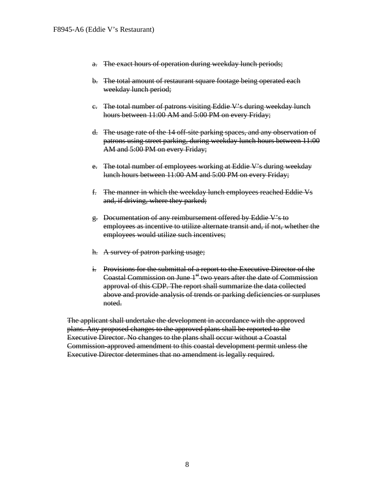- a. The exact hours of operation during weekday lunch periods;
- b. The total amount of restaurant square footage being operated each weekday lunch period;
- c. The total number of patrons visiting Eddie V's during weekday lunch hours between 11:00 AM and 5:00 PM on every Friday;
- d. The usage rate of the 14 off-site parking spaces, and any observation of patrons using street parking, during weekday lunch hours between 11:00 AM and 5:00 PM on every Friday;
- e. The total number of employees working at Eddie V's during weekday lunch hours between 11:00 AM and 5:00 PM on every Friday;
- f. The manner in which the weekday lunch employees reached Eddie Vs and, if driving, where they parked;
- g. Documentation of any reimbursement offered by Eddie V's to employees as incentive to utilize alternate transit and, if not, whether the employees would utilize such incentives;
- h. A survey of patron parking usage;
- i. Provisions for the submittal of a report to the Executive Director of the Coastal Commission on June  $1<sup>st</sup>$  two years after the date of Commission approval of this CDP. The report shall summarize the data collected above and provide analysis of trends or parking deficiencies or surpluses noted.

The applicant shall undertake the development in accordance with the approved plans. Any proposed changes to the approved plans shall be reported to the Executive Director. No changes to the plans shall occur without a Coastal Commission-approved amendment to this coastal development permit unless the Executive Director determines that no amendment is legally required.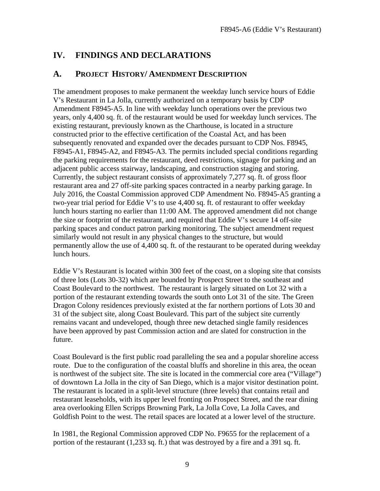## <span id="page-8-0"></span>**IV. FINDINGS AND DECLARATIONS**

### <span id="page-8-1"></span>**A. PROJECT HISTORY/ AMENDMENT DESCRIPTION**

The amendment proposes to make permanent the weekday lunch service hours of Eddie V's Restaurant in La Jolla, currently authorized on a temporary basis by CDP Amendment F8945-A5. In line with weekday lunch operations over the previous two years, only 4,400 sq. ft. of the restaurant would be used for weekday lunch services. The existing restaurant, previously known as the Charthouse, is located in a structure constructed prior to the effective certification of the Coastal Act, and has been subsequently renovated and expanded over the decades pursuant to CDP Nos. F8945, F8945-A1, F8945-A2, and F8945-A3. The permits included special conditions regarding the parking requirements for the restaurant, deed restrictions, signage for parking and an adjacent public access stairway, landscaping, and construction staging and storing. Currently, the subject restaurant consists of approximately 7,277 sq. ft. of gross floor restaurant area and 27 off-site parking spaces contracted in a nearby parking garage. In July 2016, the Coastal Commission approved CDP Amendment No. F8945-A5 granting a two-year trial period for Eddie V's to use 4,400 sq. ft. of restaurant to offer weekday lunch hours starting no earlier than 11:00 AM. The approved amendment did not change the size or footprint of the restaurant, and required that Eddie V's secure 14 off-site parking spaces and conduct patron parking monitoring. The subject amendment request similarly would not result in any physical changes to the structure, but would permanently allow the use of 4,400 sq. ft. of the restaurant to be operated during weekday lunch hours.

Eddie V's Restaurant is located within 300 feet of the coast, on a sloping site that consists of three lots (Lots 30-32) which are bounded by Prospect Street to the southeast and Coast Boulevard to the northwest. The restaurant is largely situated on Lot 32 with a portion of the restaurant extending towards the south onto Lot 31 of the site. The Green Dragon Colony residences previously existed at the far northern portions of Lots 30 and 31 of the subject site, along Coast Boulevard. This part of the subject site currently remains vacant and undeveloped, though three new detached single family residences have been approved by past Commission action and are slated for construction in the future.

Coast Boulevard is the first public road paralleling the sea and a popular shoreline access route. Due to the configuration of the coastal bluffs and shoreline in this area, the ocean is northwest of the subject site. The site is located in the commercial core area ("Village") of downtown La Jolla in the city of San Diego, which is a major visitor destination point. The restaurant is located in a split-level structure (three levels) that contains retail and restaurant leaseholds, with its upper level fronting on Prospect Street, and the rear dining area overlooking Ellen Scripps Browning Park, La Jolla Cove, La Jolla Caves, and Goldfish Point to the west. The retail spaces are located at a lower level of the structure.

In 1981, the Regional Commission approved CDP No. F9655 for the replacement of a portion of the restaurant (1,233 sq. ft.) that was destroyed by a fire and a 391 sq. ft.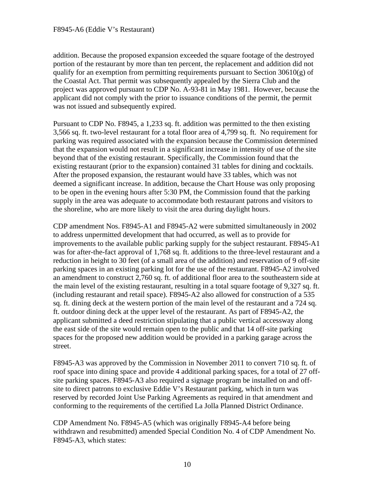addition. Because the proposed expansion exceeded the square footage of the destroyed portion of the restaurant by more than ten percent, the replacement and addition did not qualify for an exemption from permitting requirements pursuant to Section  $30610(g)$  of the Coastal Act. That permit was subsequently appealed by the Sierra Club and the project was approved pursuant to CDP No. A-93-81 in May 1981. However, because the applicant did not comply with the prior to issuance conditions of the permit, the permit was not issued and subsequently expired.

Pursuant to CDP No. F8945, a 1,233 sq. ft. addition was permitted to the then existing 3,566 sq. ft. two-level restaurant for a total floor area of 4,799 sq. ft. No requirement for parking was required associated with the expansion because the Commission determined that the expansion would not result in a significant increase in intensity of use of the site beyond that of the existing restaurant. Specifically, the Commission found that the existing restaurant (prior to the expansion) contained 31 tables for dining and cocktails. After the proposed expansion, the restaurant would have 33 tables, which was not deemed a significant increase. In addition, because the Chart House was only proposing to be open in the evening hours after 5:30 PM, the Commission found that the parking supply in the area was adequate to accommodate both restaurant patrons and visitors to the shoreline, who are more likely to visit the area during daylight hours.

CDP amendment Nos. F8945-A1 and F8945-A2 were submitted simultaneously in 2002 to address unpermitted development that had occurred, as well as to provide for improvements to the available public parking supply for the subject restaurant. F8945-A1 was for after-the-fact approval of 1,768 sq. ft. additions to the three-level restaurant and a reduction in height to 30 feet (of a small area of the addition) and reservation of 9 off-site parking spaces in an existing parking lot for the use of the restaurant. F8945-A2 involved an amendment to construct 2,760 sq. ft. of additional floor area to the southeastern side at the main level of the existing restaurant, resulting in a total square footage of 9,327 sq. ft. (including restaurant and retail space). F8945-A2 also allowed for construction of a 535 sq. ft. dining deck at the western portion of the main level of the restaurant and a 724 sq. ft. outdoor dining deck at the upper level of the restaurant. As part of F8945-A2, the applicant submitted a deed restriction stipulating that a public vertical accessway along the east side of the site would remain open to the public and that 14 off-site parking spaces for the proposed new addition would be provided in a parking garage across the street.

F8945-A3 was approved by the Commission in November 2011 to convert 710 sq. ft. of roof space into dining space and provide 4 additional parking spaces, for a total of 27 offsite parking spaces. F8945-A3 also required a signage program be installed on and offsite to direct patrons to exclusive Eddie V's Restaurant parking, which in turn was reserved by recorded Joint Use Parking Agreements as required in that amendment and conforming to the requirements of the certified La Jolla Planned District Ordinance.

CDP Amendment No. F8945-A5 (which was originally F8945-A4 before being withdrawn and resubmitted) amended Special Condition No. 4 of CDP Amendment No. F8945-A3, which states: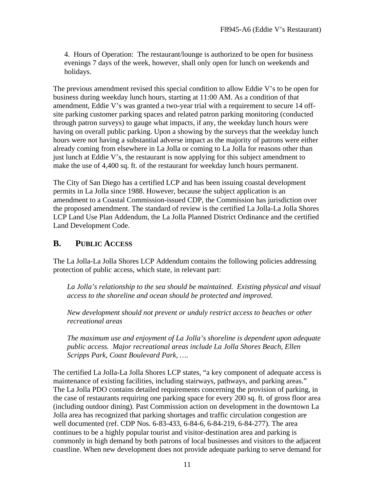4. Hours of Operation: The restaurant/lounge is authorized to be open for business evenings 7 days of the week, however, shall only open for lunch on weekends and holidays.

The previous amendment revised this special condition to allow Eddie V's to be open for business during weekday lunch hours, starting at 11:00 AM. As a condition of that amendment, Eddie V's was granted a two-year trial with a requirement to secure 14 offsite parking customer parking spaces and related patron parking monitoring (conducted through patron surveys) to gauge what impacts, if any, the weekday lunch hours were having on overall public parking. Upon a showing by the surveys that the weekday lunch hours were not having a substantial adverse impact as the majority of patrons were either already coming from elsewhere in La Jolla or coming to La Jolla for reasons other than just lunch at Eddie V's, the restaurant is now applying for this subject amendment to make the use of 4,400 sq. ft. of the restaurant for weekday lunch hours permanent.

The City of San Diego has a certified LCP and has been issuing coastal development permits in La Jolla since 1988. However, because the subject application is an amendment to a Coastal Commission-issued CDP, the Commission has jurisdiction over the proposed amendment. The standard of review is the certified La Jolla-La Jolla Shores LCP Land Use Plan Addendum, the La Jolla Planned District Ordinance and the certified Land Development Code.

## <span id="page-10-0"></span>**B. PUBLIC ACCESS**

The La Jolla-La Jolla Shores LCP Addendum contains the following policies addressing protection of public access, which state, in relevant part:

*La Jolla's relationship to the sea should be maintained. Existing physical and visual access to the shoreline and ocean should be protected and improved.* 

*New development should not prevent or unduly restrict access to beaches or other recreational areas*

 *The maximum use and enjoyment of La Jolla's shoreline is dependent upon adequate public access. Major recreational areas include La Jolla Shores Beach, Ellen Scripps Park, Coast Boulevard Park, ….* 

The certified La Jolla-La Jolla Shores LCP states, "a key component of adequate access is maintenance of existing facilities, including stairways, pathways, and parking areas." The La Jolla PDO contains detailed requirements concerning the provision of parking, in the case of restaurants requiring one parking space for every 200 sq. ft. of gross floor area (including outdoor dining). Past Commission action on development in the downtown La Jolla area has recognized that parking shortages and traffic circulation congestion are well documented (ref. CDP Nos. 6-83-433, 6-84-6, 6-84-219, 6-84-277). The area continues to be a highly popular tourist and visitor-destination area and parking is commonly in high demand by both patrons of local businesses and visitors to the adjacent coastline. When new development does not provide adequate parking to serve demand for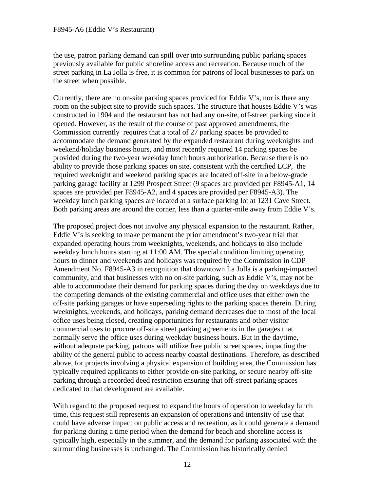the use, patron parking demand can spill over into surrounding public parking spaces previously available for public shoreline access and recreation. Because much of the street parking in La Jolla is free, it is common for patrons of local businesses to park on the street when possible.

Currently, there are no on-site parking spaces provided for Eddie V's, nor is there any room on the subject site to provide such spaces. The structure that houses Eddie V's was constructed in 1904 and the restaurant has not had any on-site, off-street parking since it opened. However, as the result of the course of past approved amendments, the Commission currently requires that a total of 27 parking spaces be provided to accommodate the demand generated by the expanded restaurant during weeknights and weekend/holiday business hours, and most recently required 14 parking spaces be provided during the two-year weekday lunch hours authorization. Because there is no ability to provide those parking spaces on site, consistent with the certified LCP, the required weeknight and weekend parking spaces are located off-site in a below-grade parking garage facility at 1299 Prospect Street (9 spaces are provided per F8945-A1, 14 spaces are provided per F8945-A2, and 4 spaces are provided per F8945-A3). The weekday lunch parking spaces are located at a surface parking lot at 1231 Cave Street. Both parking areas are around the corner, less than a quarter-mile away from Eddie V's.

The proposed project does not involve any physical expansion to the restaurant. Rather, Eddie V's is seeking to make permanent the prior amendment's two-year trial that expanded operating hours from weeknights, weekends, and holidays to also include weekday lunch hours starting at 11:00 AM. The special condition limiting operating hours to dinner and weekends and holidays was required by the Commission in CDP Amendment No. F8945-A3 in recognition that downtown La Jolla is a parking-impacted community, and that businesses with no on-site parking, such as Eddie V's, may not be able to accommodate their demand for parking spaces during the day on weekdays due to the competing demands of the existing commercial and office uses that either own the off-site parking garages or have superseding rights to the parking spaces therein. During weeknights, weekends, and holidays, parking demand decreases due to most of the local office uses being closed, creating opportunities for restaurants and other visitor commercial uses to procure off-site street parking agreements in the garages that normally serve the office uses during weekday business hours. But in the daytime, without adequate parking, patrons will utilize free public street spaces, impacting the ability of the general public to access nearby coastal destinations. Therefore, as described above, for projects involving a physical expansion of building area, the Commission has typically required applicants to either provide on-site parking, or secure nearby off-site parking through a recorded deed restriction ensuring that off-street parking spaces dedicated to that development are available.

With regard to the proposed request to expand the hours of operation to weekday lunch time, this request still represents an expansion of operations and intensity of use that could have adverse impact on public access and recreation, as it could generate a demand for parking during a time period when the demand for beach and shoreline access is typically high, especially in the summer, and the demand for parking associated with the surrounding businesses is unchanged. The Commission has historically denied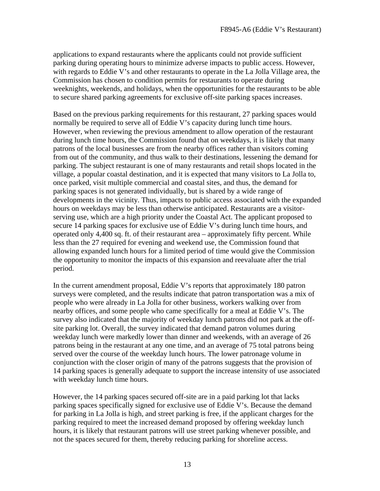applications to expand restaurants where the applicants could not provide sufficient parking during operating hours to minimize adverse impacts to public access. However, with regards to Eddie V's and other restaurants to operate in the La Jolla Village area, the Commission has chosen to condition permits for restaurants to operate during weeknights, weekends, and holidays, when the opportunities for the restaurants to be able to secure shared parking agreements for exclusive off-site parking spaces increases.

Based on the previous parking requirements for this restaurant, 27 parking spaces would normally be required to serve all of Eddie V's capacity during lunch time hours. However, when reviewing the previous amendment to allow operation of the restaurant during lunch time hours, the Commission found that on weekdays, it is likely that many patrons of the local businesses are from the nearby offices rather than visitors coming from out of the community, and thus walk to their destinations, lessening the demand for parking. The subject restaurant is one of many restaurants and retail shops located in the village, a popular coastal destination, and it is expected that many visitors to La Jolla to, once parked, visit multiple commercial and coastal sites, and thus, the demand for parking spaces is not generated individually, but is shared by a wide range of developments in the vicinity. Thus, impacts to public access associated with the expanded hours on weekdays may be less than otherwise anticipated. Restaurants are a visitorserving use, which are a high priority under the Coastal Act. The applicant proposed to secure 14 parking spaces for exclusive use of Eddie V's during lunch time hours, and operated only 4,400 sq. ft. of their restaurant area – approximately fifty percent. While less than the 27 required for evening and weekend use, the Commission found that allowing expanded lunch hours for a limited period of time would give the Commission the opportunity to monitor the impacts of this expansion and reevaluate after the trial period.

In the current amendment proposal, Eddie V's reports that approximately 180 patron surveys were completed, and the results indicate that patron transportation was a mix of people who were already in La Jolla for other business, workers walking over from nearby offices, and some people who came specifically for a meal at Eddie V's. The survey also indicated that the majority of weekday lunch patrons did not park at the offsite parking lot. Overall, the survey indicated that demand patron volumes during weekday lunch were markedly lower than dinner and weekends, with an average of 26 patrons being in the restaurant at any one time, and an average of 75 total patrons being served over the course of the weekday lunch hours. The lower patronage volume in conjunction with the closer origin of many of the patrons suggests that the provision of 14 parking spaces is generally adequate to support the increase intensity of use associated with weekday lunch time hours.

However, the 14 parking spaces secured off-site are in a paid parking lot that lacks parking spaces specifically signed for exclusive use of Eddie V's. Because the demand for parking in La Jolla is high, and street parking is free, if the applicant charges for the parking required to meet the increased demand proposed by offering weekday lunch hours, it is likely that restaurant patrons will use street parking whenever possible, and not the spaces secured for them, thereby reducing parking for shoreline access.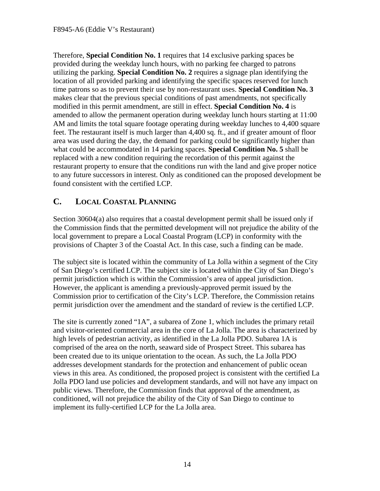Therefore, **Special Condition No. 1** requires that 14 exclusive parking spaces be provided during the weekday lunch hours, with no parking fee charged to patrons utilizing the parking. **Special Condition No. 2** requires a signage plan identifying the location of all provided parking and identifying the specific spaces reserved for lunch time patrons so as to prevent their use by non-restaurant uses. **Special Condition No. 3** makes clear that the previous special conditions of past amendments, not specifically modified in this permit amendment, are still in effect. **Special Condition No. 4** is amended to allow the permanent operation during weekday lunch hours starting at 11:00 AM and limits the total square footage operating during weekday lunches to 4,400 square feet. The restaurant itself is much larger than 4,400 sq. ft., and if greater amount of floor area was used during the day, the demand for parking could be significantly higher than what could be accommodated in 14 parking spaces. **Special Condition No. 5** shall be replaced with a new condition requiring the recordation of this permit against the restaurant property to ensure that the conditions run with the land and give proper notice to any future successors in interest. Only as conditioned can the proposed development be found consistent with the certified LCP.

## <span id="page-13-0"></span>**C. LOCAL COASTAL PLANNING**

Section 30604(a) also requires that a coastal development permit shall be issued only if the Commission finds that the permitted development will not prejudice the ability of the local government to prepare a Local Coastal Program (LCP) in conformity with the provisions of Chapter 3 of the Coastal Act. In this case, such a finding can be made.

The subject site is located within the community of La Jolla within a segment of the City of San Diego's certified LCP. The subject site is located within the City of San Diego's permit jurisdiction which is within the Commission's area of appeal jurisdiction. However, the applicant is amending a previously-approved permit issued by the Commission prior to certification of the City's LCP. Therefore, the Commission retains permit jurisdiction over the amendment and the standard of review is the certified LCP.

The site is currently zoned "1A", a subarea of Zone 1, which includes the primary retail and visitor-oriented commercial area in the core of La Jolla. The area is characterized by high levels of pedestrian activity, as identified in the La Jolla PDO. Subarea 1A is comprised of the area on the north, seaward side of Prospect Street. This subarea has been created due to its unique orientation to the ocean. As such, the La Jolla PDO addresses development standards for the protection and enhancement of public ocean views in this area. As conditioned, the proposed project is consistent with the certified La Jolla PDO land use policies and development standards, and will not have any impact on public views. Therefore, the Commission finds that approval of the amendment, as conditioned, will not prejudice the ability of the City of San Diego to continue to implement its fully-certified LCP for the La Jolla area.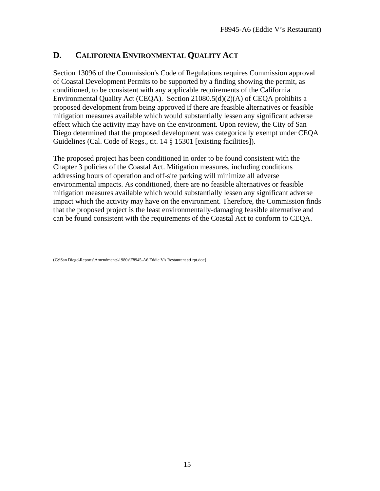## <span id="page-14-0"></span>**D. CALIFORNIA ENVIRONMENTAL QUALITY ACT**

Section 13096 of the Commission's Code of Regulations requires Commission approval of Coastal Development Permits to be supported by a finding showing the permit, as conditioned, to be consistent with any applicable requirements of the California Environmental Quality Act (CEQA). Section 21080.5(d)(2)(A) of CEQA prohibits a proposed development from being approved if there are feasible alternatives or feasible mitigation measures available which would substantially lessen any significant adverse effect which the activity may have on the environment. Upon review, the City of San Diego determined that the proposed development was categorically exempt under CEQA Guidelines (Cal. Code of Regs., tit. 14 § 15301 [existing facilities]).

The proposed project has been conditioned in order to be found consistent with the Chapter 3 policies of the Coastal Act. Mitigation measures, including conditions addressing hours of operation and off-site parking will minimize all adverse environmental impacts. As conditioned, there are no feasible alternatives or feasible mitigation measures available which would substantially lessen any significant adverse impact which the activity may have on the environment. Therefore, the Commission finds that the proposed project is the least environmentally-damaging feasible alternative and can be found consistent with the requirements of the Coastal Act to conform to CEQA.

(G:\San Diego\Reports\Amendments\1980s\F8945-A6 Eddie V's Restaurant stf rpt.doc)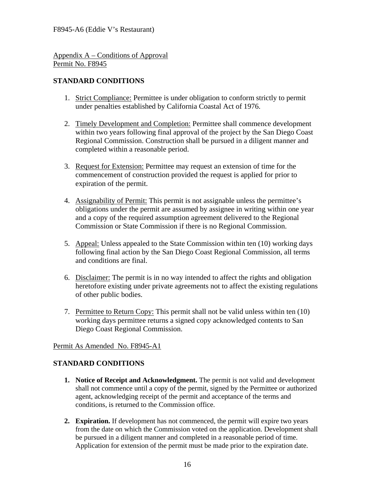<span id="page-15-0"></span>Appendix A – Conditions of Approval Permit No. F8945

#### **STANDARD CONDITIONS**

- 1. Strict Compliance: Permittee is under obligation to conform strictly to permit under penalties established by California Coastal Act of 1976.
- 2. Timely Development and Completion: Permittee shall commence development within two years following final approval of the project by the San Diego Coast Regional Commission. Construction shall be pursued in a diligent manner and completed within a reasonable period.
- 3. Request for Extension: Permittee may request an extension of time for the commencement of construction provided the request is applied for prior to expiration of the permit.
- 4. Assignability of Permit: This permit is not assignable unless the permittee's obligations under the permit are assumed by assignee in writing within one year and a copy of the required assumption agreement delivered to the Regional Commission or State Commission if there is no Regional Commission.
- 5. Appeal: Unless appealed to the State Commission within ten (10) working days following final action by the San Diego Coast Regional Commission, all terms and conditions are final.
- 6. Disclaimer: The permit is in no way intended to affect the rights and obligation heretofore existing under private agreements not to affect the existing regulations of other public bodies.
- 7. Permittee to Return Copy: This permit shall not be valid unless within ten (10) working days permittee returns a signed copy acknowledged contents to San Diego Coast Regional Commission.

#### Permit As Amended No. F8945-A1

#### **STANDARD CONDITIONS**

- **1. Notice of Receipt and Acknowledgment.** The permit is not valid and development shall not commence until a copy of the permit, signed by the Permittee or authorized agent, acknowledging receipt of the permit and acceptance of the terms and conditions, is returned to the Commission office.
- **2. Expiration.** If development has not commenced, the permit will expire two years from the date on which the Commission voted on the application. Development shall be pursued in a diligent manner and completed in a reasonable period of time. Application for extension of the permit must be made prior to the expiration date.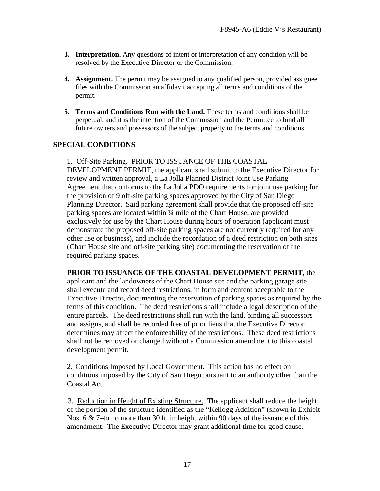- **3. Interpretation.** Any questions of intent or interpretation of any condition will be resolved by the Executive Director or the Commission.
- **4. Assignment.** The permit may be assigned to any qualified person, provided assignee files with the Commission an affidavit accepting all terms and conditions of the permit.
- **5. Terms and Conditions Run with the Land.** These terms and conditions shall be perpetual, and it is the intention of the Commission and the Permittee to bind all future owners and possessors of the subject property to the terms and conditions.

#### **SPECIAL CONDITIONS**

1. Off-Site Parking. PRIOR TO ISSUANCE OF THE COASTAL DEVELOPMENT PERMIT, the applicant shall submit to the Executive Director for review and written approval, a La Jolla Planned District Joint Use Parking Agreement that conforms to the La Jolla PDO requirements for joint use parking for the provision of 9 off-site parking spaces approved by the City of San Diego Planning Director. Said parking agreement shall provide that the proposed off-site parking spaces are located within ¼ mile of the Chart House, are provided exclusively for use by the Chart House during hours of operation (applicant must demonstrate the proposed off-site parking spaces are not currently required for any other use or business), and include the recordation of a deed restriction on both sites (Chart House site and off-site parking site) documenting the reservation of the required parking spaces.

**PRIOR TO ISSUANCE OF THE COASTAL DEVELOPMENT PERMIT**, the applicant and the landowners of the Chart House site and the parking garage site shall execute and record deed restrictions, in form and content acceptable to the Executive Director, documenting the reservation of parking spaces as required by the terms of this condition. The deed restrictions shall include a legal description of the entire parcels. The deed restrictions shall run with the land, binding all successors and assigns, and shall be recorded free of prior liens that the Executive Director determines may affect the enforceability of the restrictions. These deed restrictions shall not be removed or changed without a Commission amendment to this coastal development permit.

2. Conditions Imposed by Local Government. This action has no effect on conditions imposed by the City of San Diego pursuant to an authority other than the Coastal Act.

3. Reduction in Height of Existing Structure. The applicant shall reduce the height of the portion of the structure identified as the "Kellogg Addition" (shown in Exhibit Nos. 6 & 7–to no more than 30 ft. in height within 90 days of the issuance of this amendment. The Executive Director may grant additional time for good cause.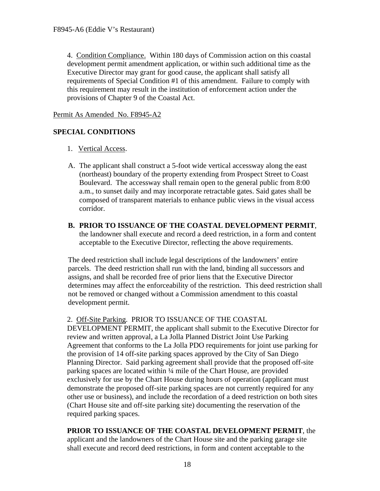4. Condition Compliance. Within 180 days of Commission action on this coastal development permit amendment application, or within such additional time as the Executive Director may grant for good cause, the applicant shall satisfy all requirements of Special Condition #1 of this amendment. Failure to comply with this requirement may result in the institution of enforcement action under the provisions of Chapter 9 of the Coastal Act.

#### Permit As Amended No. F8945-A2

#### **SPECIAL CONDITIONS**

#### 1. Vertical Access.

- A. The applicant shall construct a 5-foot wide vertical accessway along the east (northeast) boundary of the property extending from Prospect Street to Coast Boulevard. The accessway shall remain open to the general public from 8:00 a.m., to sunset daily and may incorporate retractable gates. Said gates shall be composed of transparent materials to enhance public views in the visual access corridor.
- **B. PRIOR TO ISSUANCE OF THE COASTAL DEVELOPMENT PERMIT**, the landowner shall execute and record a deed restriction, in a form and content acceptable to the Executive Director, reflecting the above requirements.

The deed restriction shall include legal descriptions of the landowners' entire parcels. The deed restriction shall run with the land, binding all successors and assigns, and shall be recorded free of prior liens that the Executive Director determines may affect the enforceability of the restriction. This deed restriction shall not be removed or changed without a Commission amendment to this coastal development permit.

#### 2. Off-Site Parking. PRIOR TO ISSUANCE OF THE COASTAL

DEVELOPMENT PERMIT, the applicant shall submit to the Executive Director for review and written approval, a La Jolla Planned District Joint Use Parking Agreement that conforms to the La Jolla PDO requirements for joint use parking for the provision of 14 off-site parking spaces approved by the City of San Diego Planning Director. Said parking agreement shall provide that the proposed off-site parking spaces are located within ¼ mile of the Chart House, are provided exclusively for use by the Chart House during hours of operation (applicant must demonstrate the proposed off-site parking spaces are not currently required for any other use or business), and include the recordation of a deed restriction on both sites (Chart House site and off-site parking site) documenting the reservation of the required parking spaces.

**PRIOR TO ISSUANCE OF THE COASTAL DEVELOPMENT PERMIT**, the applicant and the landowners of the Chart House site and the parking garage site shall execute and record deed restrictions, in form and content acceptable to the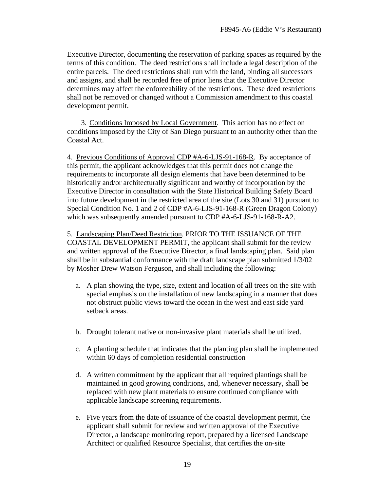Executive Director, documenting the reservation of parking spaces as required by the terms of this condition. The deed restrictions shall include a legal description of the entire parcels. The deed restrictions shall run with the land, binding all successors and assigns, and shall be recorded free of prior liens that the Executive Director determines may affect the enforceability of the restrictions. These deed restrictions shall not be removed or changed without a Commission amendment to this coastal development permit.

3. Conditions Imposed by Local Government. This action has no effect on conditions imposed by the City of San Diego pursuant to an authority other than the Coastal Act.

4. Previous Conditions of Approval CDP #A-6-LJS-91-168-R. By acceptance of this permit, the applicant acknowledges that this permit does not change the requirements to incorporate all design elements that have been determined to be historically and/or architecturally significant and worthy of incorporation by the Executive Director in consultation with the State Historical Building Safety Board into future development in the restricted area of the site (Lots 30 and 31) pursuant to Special Condition No. 1 and 2 of CDP #A-6-LJS-91-168-R (Green Dragon Colony) which was subsequently amended pursuant to CDP #A-6-LJS-91-168-R-A2.

5. Landscaping Plan/Deed Restriction. PRIOR TO THE ISSUANCE OF THE COASTAL DEVELOPMENT PERMIT, the applicant shall submit for the review and written approval of the Executive Director, a final landscaping plan. Said plan shall be in substantial conformance with the draft landscape plan submitted 1/3/02 by Mosher Drew Watson Ferguson, and shall including the following:

- a. A plan showing the type, size, extent and location of all trees on the site with special emphasis on the installation of new landscaping in a manner that does not obstruct public views toward the ocean in the west and east side yard setback areas.
- b. Drought tolerant native or non-invasive plant materials shall be utilized.
- c. A planting schedule that indicates that the planting plan shall be implemented within 60 days of completion residential construction
- d. A written commitment by the applicant that all required plantings shall be maintained in good growing conditions, and, whenever necessary, shall be replaced with new plant materials to ensure continued compliance with applicable landscape screening requirements.
- e. Five years from the date of issuance of the coastal development permit, the applicant shall submit for review and written approval of the Executive Director, a landscape monitoring report, prepared by a licensed Landscape Architect or qualified Resource Specialist, that certifies the on-site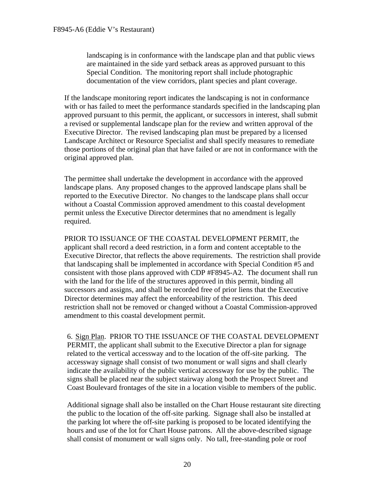landscaping is in conformance with the landscape plan and that public views are maintained in the side yard setback areas as approved pursuant to this Special Condition. The monitoring report shall include photographic documentation of the view corridors, plant species and plant coverage.

If the landscape monitoring report indicates the landscaping is not in conformance with or has failed to meet the performance standards specified in the landscaping plan approved pursuant to this permit, the applicant, or successors in interest, shall submit a revised or supplemental landscape plan for the review and written approval of the Executive Director. The revised landscaping plan must be prepared by a licensed Landscape Architect or Resource Specialist and shall specify measures to remediate those portions of the original plan that have failed or are not in conformance with the original approved plan.

The permittee shall undertake the development in accordance with the approved landscape plans. Any proposed changes to the approved landscape plans shall be reported to the Executive Director. No changes to the landscape plans shall occur without a Coastal Commission approved amendment to this coastal development permit unless the Executive Director determines that no amendment is legally required.

PRIOR TO ISSUANCE OF THE COASTAL DEVELOPMENT PERMIT, the applicant shall record a deed restriction, in a form and content acceptable to the Executive Director, that reflects the above requirements. The restriction shall provide that landscaping shall be implemented in accordance with Special Condition #5 and consistent with those plans approved with CDP #F8945-A2. The document shall run with the land for the life of the structures approved in this permit, binding all successors and assigns, and shall be recorded free of prior liens that the Executive Director determines may affect the enforceability of the restriction. This deed restriction shall not be removed or changed without a Coastal Commission-approved amendment to this coastal development permit.

6. Sign Plan. PRIOR TO THE ISSUANCE OF THE COASTAL DEVELOPMENT PERMIT, the applicant shall submit to the Executive Director a plan for signage related to the vertical accessway and to the location of the off-site parking. The accessway signage shall consist of two monument or wall signs and shall clearly indicate the availability of the public vertical accessway for use by the public. The signs shall be placed near the subject stairway along both the Prospect Street and Coast Boulevard frontages of the site in a location visible to members of the public.

Additional signage shall also be installed on the Chart House restaurant site directing the public to the location of the off-site parking. Signage shall also be installed at the parking lot where the off-site parking is proposed to be located identifying the hours and use of the lot for Chart House patrons. All the above-described signage shall consist of monument or wall signs only. No tall, free-standing pole or roof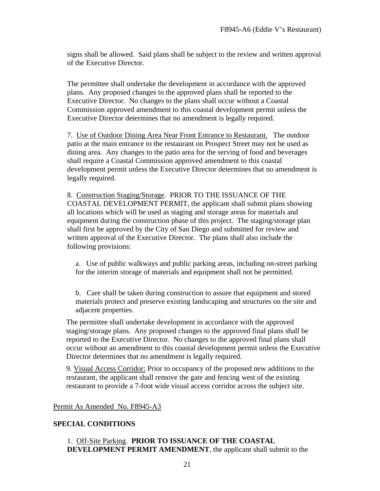signs shall be allowed. Said plans shall be subject to the review and written approval of the Executive Director.

The permittee shall undertake the development in accordance with the approved plans. Any proposed changes to the approved plans shall be reported to the Executive Director. No changes to the plans shall occur without a Coastal Commission approved amendment to this coastal development permit unless the Executive Director determines that no amendment is legally required.

7. Use of Outdoor Dining Area Near Front Entrance to Restaurant. The outdoor patio at the main entrance to the restaurant on Prospect Street may not be used as dining area. Any changes to the patio area for the serving of food and beverages shall require a Coastal Commission approved amendment to this coastal development permit unless the Executive Director determines that no amendment is legally required.

8. Construction Staging/Storage. PRIOR TO THE ISSUANCE OF THE COASTAL DEVELOPMENT PERMIT, the applicant shall submit plans showing all locations which will be used as staging and storage areas for materials and equipment during the construction phase of this project. The staging/storage plan shall first be approved by the City of San Diego and submitted for review and written approval of the Executive Director. The plans shall also include the following provisions:

a. Use of public walkways and public parking areas, including on-street parking for the interim storage of materials and equipment shall not be permitted.

b. Care shall be taken during construction to assure that equipment and stored materials protect and preserve existing landscaping and structures on the site and adjacent properties.

The permittee shall undertake development in accordance with the approved staging/storage plans. Any proposed changes to the approved final plans shall be reported to the Executive Director. No changes to the approved final plans shall occur without an amendment to this coastal development permit unless the Executive Director determines that no amendment is legally required.

9. Visual Access Corridor: Prior to occupancy of the proposed new additions to the restaurant, the applicant shall remove the gate and fencing west of the existing restaurant to provide a 7-foot wide visual access corridor across the subject site.

Permit As Amended No. F8945-A3

#### **SPECIAL CONDITIONS**

#### 1. Off-Site Parking. **PRIOR TO ISSUANCE OF THE COASTAL DEVELOPMENT PERMIT AMENDMENT**, the applicant shall submit to the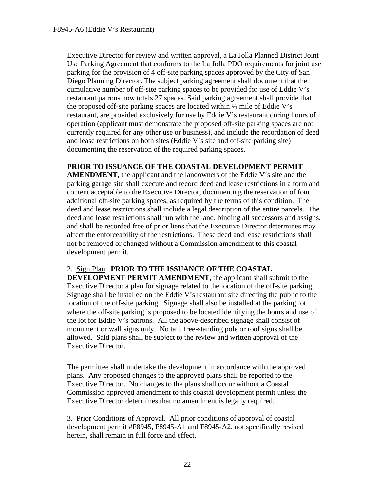Executive Director for review and written approval, a La Jolla Planned District Joint Use Parking Agreement that conforms to the La Jolla PDO requirements for joint use parking for the provision of 4 off-site parking spaces approved by the City of San Diego Planning Director. The subject parking agreement shall document that the cumulative number of off-site parking spaces to be provided for use of Eddie V's restaurant patrons now totals 27 spaces. Said parking agreement shall provide that the proposed off-site parking spaces are located within ¼ mile of Eddie V's restaurant, are provided exclusively for use by Eddie V's restaurant during hours of operation (applicant must demonstrate the proposed off-site parking spaces are not currently required for any other use or business), and include the recordation of deed and lease restrictions on both sites (Eddie V's site and off-site parking site) documenting the reservation of the required parking spaces.

#### **PRIOR TO ISSUANCE OF THE COASTAL DEVELOPMENT PERMIT**

**AMENDMENT**, the applicant and the landowners of the Eddie V's site and the parking garage site shall execute and record deed and lease restrictions in a form and content acceptable to the Executive Director, documenting the reservation of four additional off-site parking spaces, as required by the terms of this condition. The deed and lease restrictions shall include a legal description of the entire parcels. The deed and lease restrictions shall run with the land, binding all successors and assigns, and shall be recorded free of prior liens that the Executive Director determines may affect the enforceability of the restrictions. These deed and lease restrictions shall not be removed or changed without a Commission amendment to this coastal development permit.

#### 2. Sign Plan. **PRIOR TO THE ISSUANCE OF THE COASTAL**

**DEVELOPMENT PERMIT AMENDMENT**, the applicant shall submit to the Executive Director a plan for signage related to the location of the off-site parking. Signage shall be installed on the Eddie V's restaurant site directing the public to the location of the off-site parking. Signage shall also be installed at the parking lot where the off-site parking is proposed to be located identifying the hours and use of the lot for Eddie V's patrons. All the above-described signage shall consist of monument or wall signs only. No tall, free-standing pole or roof signs shall be allowed. Said plans shall be subject to the review and written approval of the Executive Director.

The permittee shall undertake the development in accordance with the approved plans. Any proposed changes to the approved plans shall be reported to the Executive Director. No changes to the plans shall occur without a Coastal Commission approved amendment to this coastal development permit unless the Executive Director determines that no amendment is legally required.

 3. Prior Conditions of Approval. All prior conditions of approval of coastal development permit #F8945, F8945-A1 and F8945-A2, not specifically revised herein, shall remain in full force and effect.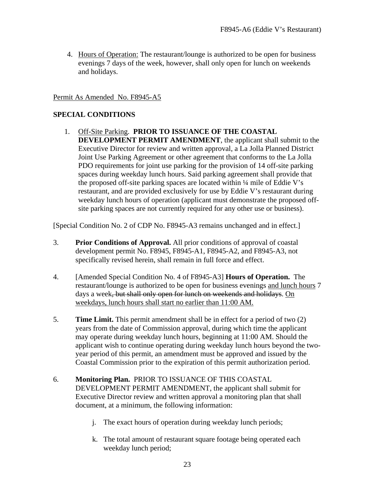4. Hours of Operation: The restaurant/lounge is authorized to be open for business evenings 7 days of the week, however, shall only open for lunch on weekends and holidays.

#### Permit As Amended No. F8945-A5

#### **SPECIAL CONDITIONS**

1. Off-Site Parking. **PRIOR TO ISSUANCE OF THE COASTAL DEVELOPMENT PERMIT AMENDMENT**, the applicant shall submit to the Executive Director for review and written approval, a La Jolla Planned District Joint Use Parking Agreement or other agreement that conforms to the La Jolla PDO requirements for joint use parking for the provision of 14 off-site parking spaces during weekday lunch hours. Said parking agreement shall provide that the proposed off-site parking spaces are located within ¼ mile of Eddie V's restaurant, and are provided exclusively for use by Eddie V's restaurant during weekday lunch hours of operation (applicant must demonstrate the proposed offsite parking spaces are not currently required for any other use or business).

[Special Condition No. 2 of CDP No. F8945-A3 remains unchanged and in effect.]

- 3. **Prior Conditions of Approval.** All prior conditions of approval of coastal development permit No. F8945, F8945-A1, F8945-A2, and F8945-A3, not specifically revised herein, shall remain in full force and effect.
- 4. [Amended Special Condition No. 4 of F8945-A3] **Hours of Operation.** The restaurant/lounge is authorized to be open for business evenings and lunch hours 7 days a week, but shall only open for lunch on weekends and holidays. On weekdays, lunch hours shall start no earlier than 11:00 AM.
- 5. **Time Limit.** This permit amendment shall be in effect for a period of two (2) years from the date of Commission approval, during which time the applicant may operate during weekday lunch hours, beginning at 11:00 AM. Should the applicant wish to continue operating during weekday lunch hours beyond the twoyear period of this permit, an amendment must be approved and issued by the Coastal Commission prior to the expiration of this permit authorization period.

#### 6. **Monitoring Plan.** PRIOR TO ISSUANCE OF THIS COASTAL DEVELOPMENT PERMIT AMENDMENT, the applicant shall submit for Executive Director review and written approval a monitoring plan that shall document, at a minimum, the following information:

- j. The exact hours of operation during weekday lunch periods;
- k. The total amount of restaurant square footage being operated each weekday lunch period;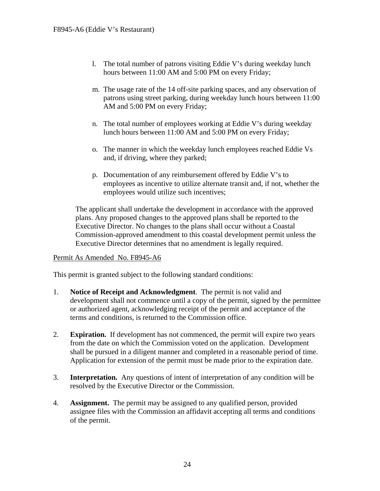- l. The total number of patrons visiting Eddie V's during weekday lunch hours between 11:00 AM and 5:00 PM on every Friday;
- m. The usage rate of the 14 off-site parking spaces, and any observation of patrons using street parking, during weekday lunch hours between 11:00 AM and 5:00 PM on every Friday;
- n. The total number of employees working at Eddie V's during weekday lunch hours between 11:00 AM and 5:00 PM on every Friday;
- o. The manner in which the weekday lunch employees reached Eddie Vs and, if driving, where they parked;
- p. Documentation of any reimbursement offered by Eddie V's to employees as incentive to utilize alternate transit and, if not, whether the employees would utilize such incentives;

The applicant shall undertake the development in accordance with the approved plans. Any proposed changes to the approved plans shall be reported to the Executive Director. No changes to the plans shall occur without a Coastal Commission-approved amendment to this coastal development permit unless the Executive Director determines that no amendment is legally required.

#### Permit As Amended No. F8945-A6

This permit is granted subject to the following standard conditions:

- 1. **Notice of Receipt and Acknowledgment**. The permit is not valid and development shall not commence until a copy of the permit, signed by the permittee or authorized agent, acknowledging receipt of the permit and acceptance of the terms and conditions, is returned to the Commission office.
- 2. **Expiration.** If development has not commenced, the permit will expire two years from the date on which the Commission voted on the application. Development shall be pursued in a diligent manner and completed in a reasonable period of time. Application for extension of the permit must be made prior to the expiration date.
- 3. **Interpretation.** Any questions of intent of interpretation of any condition will be resolved by the Executive Director or the Commission.
- 4. **Assignment.** The permit may be assigned to any qualified person, provided assignee files with the Commission an affidavit accepting all terms and conditions of the permit.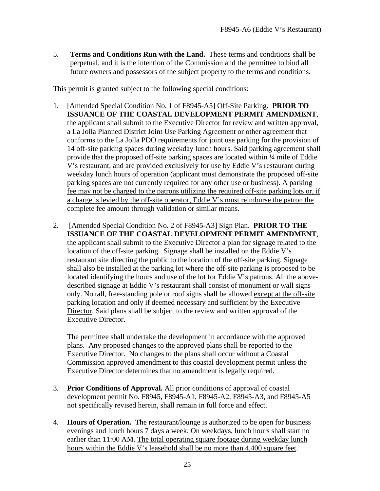5. **Terms and Conditions Run with the Land.** These terms and conditions shall be perpetual, and it is the intention of the Commission and the permittee to bind all future owners and possessors of the subject property to the terms and conditions.

This permit is granted subject to the following special conditions:

- 1. [Amended Special Condition No. 1 of F8945-A5] Off-Site Parking. **PRIOR TO ISSUANCE OF THE COASTAL DEVELOPMENT PERMIT AMENDMENT**, the applicant shall submit to the Executive Director for review and written approval, a La Jolla Planned District Joint Use Parking Agreement or other agreement that conforms to the La Jolla PDO requirements for joint use parking for the provision of 14 off-site parking spaces during weekday lunch hours. Said parking agreement shall provide that the proposed off-site parking spaces are located within ¼ mile of Eddie V's restaurant, and are provided exclusively for use by Eddie V's restaurant during weekday lunch hours of operation (applicant must demonstrate the proposed off-site parking spaces are not currently required for any other use or business). A parking fee may not be charged to the patrons utilizing the required off-site parking lots or, if a charge is levied by the off-site operator, Eddie V's must reimburse the patron the complete fee amount through validation or similar means.
- 2. [Amended Special Condition No. 2 of F8945-A3] Sign Plan. **PRIOR TO THE ISSUANCE OF THE COASTAL DEVELOPMENT PERMIT AMENDMENT**, the applicant shall submit to the Executive Director a plan for signage related to the location of the off-site parking. Signage shall be installed on the Eddie V's restaurant site directing the public to the location of the off-site parking. Signage shall also be installed at the parking lot where the off-site parking is proposed to be located identifying the hours and use of the lot for Eddie V's patrons. All the abovedescribed signage at Eddie V's restaurant shall consist of monument or wall signs only. No tall, free-standing pole or roof signs shall be allowed except at the off-site parking location and only if deemed necessary and sufficient by the Executive Director. Said plans shall be subject to the review and written approval of the Executive Director.

The permittee shall undertake the development in accordance with the approved plans. Any proposed changes to the approved plans shall be reported to the Executive Director. No changes to the plans shall occur without a Coastal Commission approved amendment to this coastal development permit unless the Executive Director determines that no amendment is legally required.

- 3. **Prior Conditions of Approval.** All prior conditions of approval of coastal development permit No. F8945, F8945-A1, F8945-A2, F8945-A3, and F8945-A5 not specifically revised herein, shall remain in full force and effect.
- 4. **Hours of Operation.** The restaurant/lounge is authorized to be open for business evenings and lunch hours 7 days a week. On weekdays, lunch hours shall start no earlier than 11:00 AM. The total operating square footage during weekday lunch hours within the Eddie V's leasehold shall be no more than 4,400 square feet.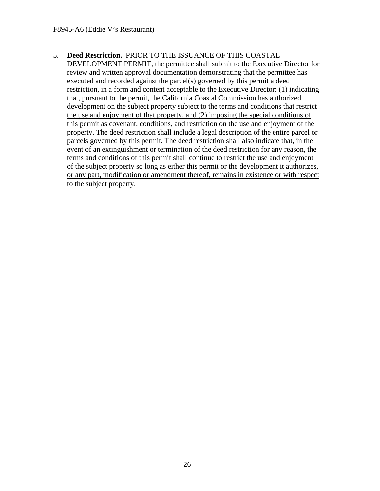#### 5. **Deed Restriction.** PRIOR TO THE ISSUANCE OF THIS COASTAL

DEVELOPMENT PERMIT, the permittee shall submit to the Executive Director for review and written approval documentation demonstrating that the permittee has executed and recorded against the parcel(s) governed by this permit a deed restriction, in a form and content acceptable to the Executive Director: (1) indicating that, pursuant to the permit, the California Coastal Commission has authorized development on the subject property subject to the terms and conditions that restrict the use and enjoyment of that property, and (2) imposing the special conditions of this permit as covenant, conditions, and restriction on the use and enjoyment of the property. The deed restriction shall include a legal description of the entire parcel or parcels governed by this permit. The deed restriction shall also indicate that, in the event of an extinguishment or termination of the deed restriction for any reason, the terms and conditions of this permit shall continue to restrict the use and enjoyment of the subject property so long as either this permit or the development it authorizes, or any part, modification or amendment thereof, remains in existence or with respect to the subject property.